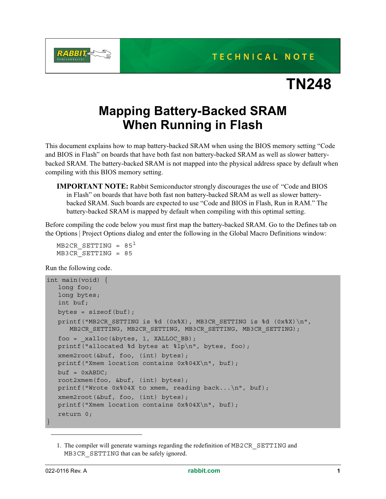

## **TN248**

## **Mapping Battery-Backed SRAM When Running in Flash**

This document explains how to map battery-backed SRAM when using the BIOS memory setting "Code and BIOS in Flash" on boards that have both fast non battery-backed SRAM as well as slower batterybacked SRAM. The battery-backed SRAM is not mapped into the physical address space by default when compiling with this BIOS memory setting.

**IMPORTANT NOTE:** Rabbit Semiconductor strongly discourages the use of "Code and BIOS in Flash" on boards that have both fast non battery-backed SRAM as well as slower batterybacked SRAM. Such boards are expected to use "Code and BIOS in Flash, Run in RAM." The battery-backed SRAM is mapped by default when compiling with this optimal setting.

Before compiling the code below you must first map the battery-backed SRAM. Go to the Defines tab on the Options | Project Options dialog and enter the following in the Global Macro Definitions window:

```
MB2CR SETTING = 85<sup>1</sup>MB3CR_SETTING = 85
```
Run the following code.

```
int main(void) {
  long foo;
   long bytes;
   int buf;
  bytes = sizeof(buf);printf("MB2CR SETTING is d (0x%X), MB3CR SETTING is d (0x%X)n",
      MB2CR SETTING, MB2CR SETTING, MB3CR SETTING, MB3CR SETTING);
   foo = xalloc(\&bytes, 1, XALLOC BB);printf("allocated %d bytes at %lp\n", bytes, foo);
   xmem2root(&buf, foo, (int) bytes);
   printf("Xmem location contains 0x%04X\n", buf);
  buf = 0xABDC;root2xmem(foo, &buf, (int) bytes);
  printf("Wrote 0x804X to xmem, reading back...\n\timesn", buf);
   xmem2root(&buf, foo, (int) bytes);
   printf("Xmem location contains 0x%04X\n", buf);
   return 0;
}
```
<sup>1.</sup> The compiler will generate warnings regarding the redefinition of MB2CR\_SETTING and MB3CR SETTING that can be safely ignored.